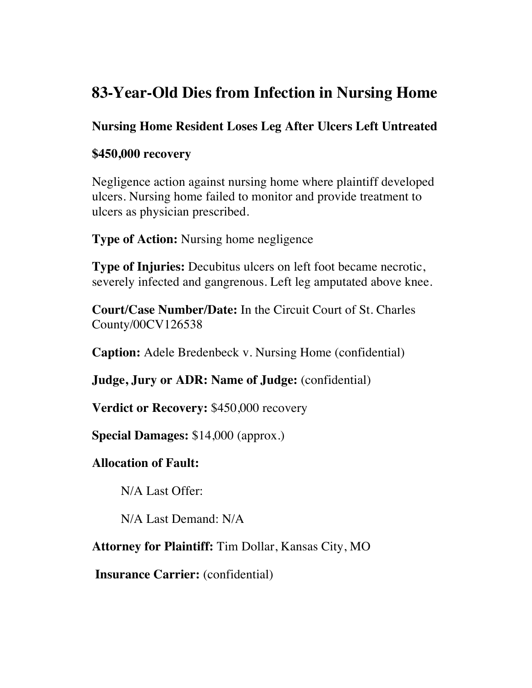# **83-Year-Old Dies from Infection in Nursing Home**

## **Nursing Home Resident Loses Leg After Ulcers Left Untreated**

### **\$450,000 recovery**

Negligence action against nursing home where plaintiff developed ulcers. Nursing home failed to monitor and provide treatment to ulcers as physician prescribed.

**Type of Action:** Nursing home negligence

**Type of Injuries:** Decubitus ulcers on left foot became necrotic, severely infected and gangrenous. Left leg amputated above knee.

**Court/Case Number/Date:** In the Circuit Court of St. Charles County/00CV126538

**Caption:** Adele Bredenbeck v. Nursing Home (confidential)

**Judge, Jury or ADR: Name of Judge:** (confidential)

**Verdict or Recovery:** \$450,000 recovery

**Special Damages:** \$14,000 (approx.)

#### **Allocation of Fault:**

N/A Last Offer:

N/A Last Demand: N/A

**Attorney for Plaintiff:** Tim Dollar, Kansas City, MO

**Insurance Carrier:** (confidential)